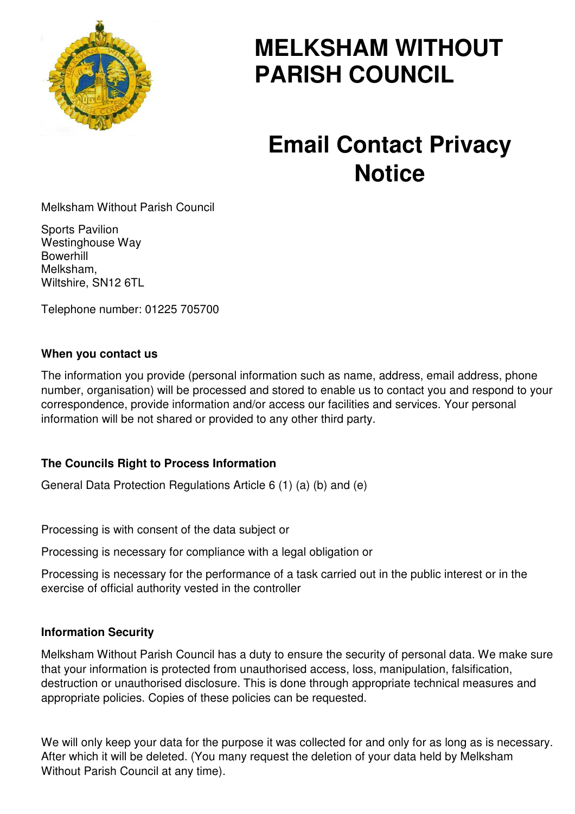

# **MELKSHAM WITHOUT PARISH COUNCIL**

# **Email Contact Privacy Notice**

Melksham Without Parish Council

Sports Pavilion Westinghouse Way Bowerhill Melksham, Wiltshire, SN12 6TL

Telephone number: 01225 705700

#### **When you contact us**

The information you provide (personal information such as name, address, email address, phone number, organisation) will be processed and stored to enable us to contact you and respond to your correspondence, provide information and/or access our facilities and services. Your personal information will be not shared or provided to any other third party.

## **The Councils Right to Process Information**

General Data Protection Regulations Article 6 (1) (a) (b) and (e)

Processing is with consent of the data subject or

Processing is necessary for compliance with a legal obligation or

Processing is necessary for the performance of a task carried out in the public interest or in the exercise of official authority vested in the controller

#### **Information Security**

Melksham Without Parish Council has a duty to ensure the security of personal data. We make sure that your information is protected from unauthorised access, loss, manipulation, falsification, destruction or unauthorised disclosure. This is done through appropriate technical measures and appropriate policies. Copies of these policies can be requested.

We will only keep your data for the purpose it was collected for and only for as long as is necessary. After which it will be deleted. (You many request the deletion of your data held by Melksham Without Parish Council at any time).